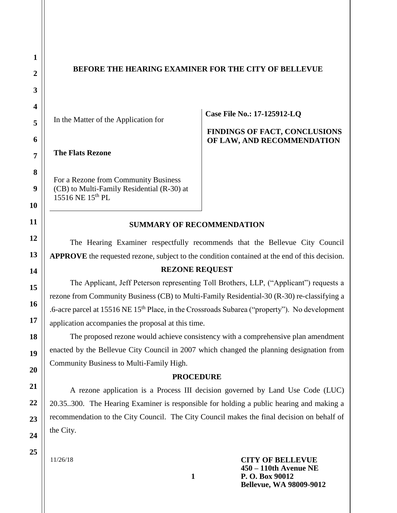# **BEFORE THE HEARING EXAMINER FOR THE CITY OF BELLEVUE**

In the Matter of the Application for

**The Flats Rezone** 

For a Rezone from Community Business (CB) to Multi-Family Residential (R-30) at 15516 NE 15<sup>th</sup> PL

**Case File No.: 17-125912-LQ**

# **FINDINGS OF FACT, CONCLUSIONS OF LAW, AND RECOMMENDATION**

#### **SUMMARY OF RECOMMENDATION**

The Hearing Examiner respectfully recommends that the Bellevue City Council **APPROVE** the requested rezone, subject to the condition contained at the end of this decision.

### **REZONE REQUEST**

The Applicant, Jeff Peterson representing Toll Brothers, LLP, ("Applicant") requests a rezone from Community Business (CB) to Multi-Family Residential-30 (R-30) re-classifying a .6-acre parcel at 15516 NE 15<sup>th</sup> Place, in the Crossroads Subarea ("property"). No development application accompanies the proposal at this time.

The proposed rezone would achieve consistency with a comprehensive plan amendment enacted by the Bellevue City Council in 2007 which changed the planning designation from Community Business to Multi-Family High.

#### **PROCEDURE**

A rezone application is a Process III decision governed by Land Use Code (LUC) 20.35..300. The Hearing Examiner is responsible for holding a public hearing and making a recommendation to the City Council. The City Council makes the final decision on behalf of the City.

11/26/18

**CITY OF BELLEVUE 450 – 110th Avenue NE P. O. Box 90012 Bellevue, WA 98009-9012**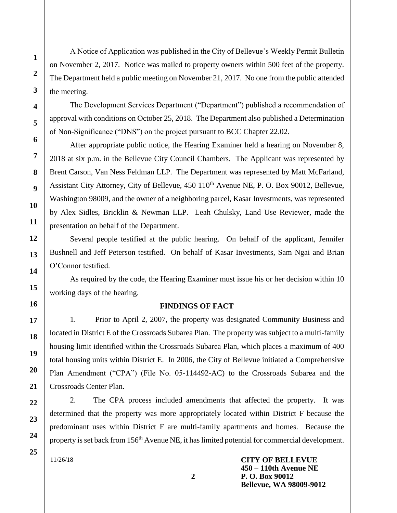A Notice of Application was published in the City of Bellevue's Weekly Permit Bulletin on November 2, 2017. Notice was mailed to property owners within 500 feet of the property. The Department held a public meeting on November 21, 2017. No one from the public attended the meeting.

The Development Services Department ("Department") published a recommendation of approval with conditions on October 25, 2018. The Department also published a Determination of Non-Significance ("DNS") on the project pursuant to BCC Chapter 22.02.

After appropriate public notice, the Hearing Examiner held a hearing on November 8, 2018 at six p.m. in the Bellevue City Council Chambers. The Applicant was represented by Brent Carson, Van Ness Feldman LLP. The Department was represented by Matt McFarland, Assistant City Attorney, City of Bellevue, 450  $110<sup>th</sup>$  Avenue NE, P. O. Box 90012, Bellevue, Washington 98009, and the owner of a neighboring parcel, Kasar Investments, was represented by Alex Sidles, Bricklin & Newman LLP. Leah Chulsky, Land Use Reviewer, made the presentation on behalf of the Department.

Several people testified at the public hearing. On behalf of the applicant, Jennifer Bushnell and Jeff Peterson testified. On behalf of Kasar Investments, Sam Ngai and Brian O'Connor testified.

As required by the code, the Hearing Examiner must issue his or her decision within 10 working days of the hearing.

#### **FINDINGS OF FACT**

1. Prior to April 2, 2007, the property was designated Community Business and located in District E of the Crossroads Subarea Plan. The property was subject to a multi-family housing limit identified within the Crossroads Subarea Plan, which places a maximum of 400 total housing units within District E. In 2006, the City of Bellevue initiated a Comprehensive Plan Amendment ("CPA") (File No. 05-114492-AC) to the Crossroads Subarea and the Crossroads Center Plan.

2. The CPA process included amendments that affected the property. It was determined that the property was more appropriately located within District F because the predominant uses within District F are multi-family apartments and homes. Because the property is set back from 156<sup>th</sup> Avenue NE, it has limited potential for commercial development.

11/26/18

**CITY OF BELLEVUE 450 – 110th Avenue NE P. O. Box 90012 Bellevue, WA 98009-9012**

**1**

**2**

**3**

**4**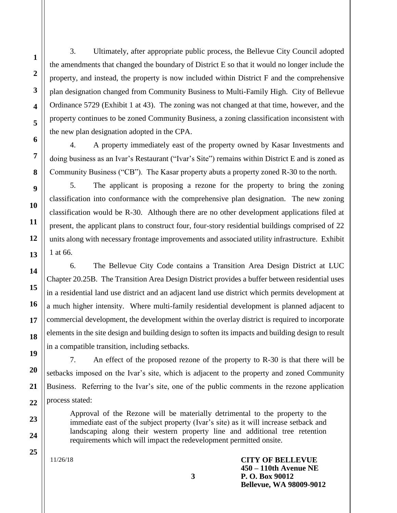3. Ultimately, after appropriate public process, the Bellevue City Council adopted the amendments that changed the boundary of District E so that it would no longer include the property, and instead, the property is now included within District F and the comprehensive plan designation changed from Community Business to Multi-Family High. City of Bellevue Ordinance 5729 (Exhibit 1 at 43). The zoning was not changed at that time, however, and the property continues to be zoned Community Business, a zoning classification inconsistent with the new plan designation adopted in the CPA.

4. A property immediately east of the property owned by Kasar Investments and doing business as an Ivar's Restaurant ("Ivar's Site") remains within District E and is zoned as Community Business ("CB"). The Kasar property abuts a property zoned R-30 to the north.

5. The applicant is proposing a rezone for the property to bring the zoning classification into conformance with the comprehensive plan designation. The new zoning classification would be R-30. Although there are no other development applications filed at present, the applicant plans to construct four, four-story residential buildings comprised of 22 units along with necessary frontage improvements and associated utility infrastructure. Exhibit 1 at 66.

6. The Bellevue City Code contains a Transition Area Design District at LUC Chapter 20.25B. The Transition Area Design District provides a buffer between residential uses in a residential land use district and an adjacent land use district which permits development at a much higher intensity. Where multi-family residential development is planned adjacent to commercial development, the development within the overlay district is required to incorporate elements in the site design and building design to soften its impacts and building design to result in a compatible transition, including setbacks.

7. An effect of the proposed rezone of the property to R-30 is that there will be setbacks imposed on the Ivar's site, which is adjacent to the property and zoned Community Business. Referring to the Ivar's site, one of the public comments in the rezone application process stated:

Approval of the Rezone will be materially detrimental to the property to the immediate east of the subject property (Ivar's site) as it will increase setback and landscaping along their western property line and additional tree retention requirements which will impact the redevelopment permitted onsite.

**3**

11/26/18

**CITY OF BELLEVUE 450 – 110th Avenue NE P. O. Box 90012 Bellevue, WA 98009-9012**

**1**

**2**

**3**

**4**

**5**

**6**

**7**

**8**

**9**

**10**

**11**

**12**

**13**

**14**

**15**

**16**

**17**

**18**

**25**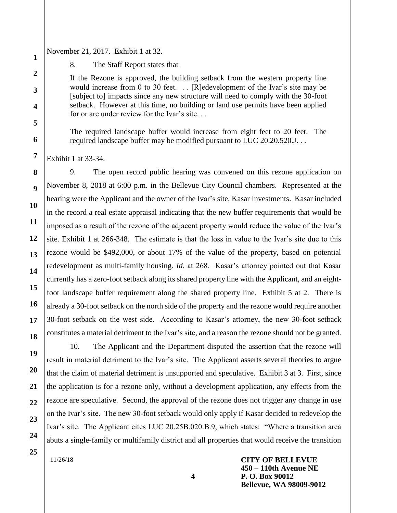November 21, 2017. Exhibit 1 at 32.

8. The Staff Report states that

If the Rezone is approved, the building setback from the western property line would increase from 0 to 30 feet. . . [R]edevelopment of the Ivar's site may be [subject to] impacts since any new structure will need to comply with the 30-foot setback. However at this time, no building or land use permits have been applied for or are under review for the Ivar's site. . .

The required landscape buffer would increase from eight feet to 20 feet. The required landscape buffer may be modified pursuant to LUC 20.20.520.J...

Exhibit 1 at 33-34.

**1**

**2**

**3**

**4**

**5**

**6**

**7**

**8**

**9**

**10**

**11**

**12**

**13**

**14**

**15**

**16**

**17**

**18**

**19**

**20**

**21**

**22**

**23**

**24**

**25**

9. The open record public hearing was convened on this rezone application on November 8, 2018 at 6:00 p.m. in the Bellevue City Council chambers. Represented at the hearing were the Applicant and the owner of the Ivar's site, Kasar Investments. Kasar included in the record a real estate appraisal indicating that the new buffer requirements that would be imposed as a result of the rezone of the adjacent property would reduce the value of the Ivar's site. Exhibit 1 at 266-348. The estimate is that the loss in value to the Ivar's site due to this rezone would be \$492,000, or about 17% of the value of the property, based on potential redevelopment as multi-family housing. *Id.* at 268. Kasar's attorney pointed out that Kasar currently has a zero-foot setback along its shared property line with the Applicant, and an eightfoot landscape buffer requirement along the shared property line. Exhibit 5 at 2. There is already a 30-foot setback on the north side of the property and the rezone would require another 30-foot setback on the west side. According to Kasar's attorney, the new 30-foot setback constitutes a material detriment to the Ivar's site, and a reason the rezone should not be granted.

10. The Applicant and the Department disputed the assertion that the rezone will result in material detriment to the Ivar's site. The Applicant asserts several theories to argue that the claim of material detriment is unsupported and speculative. Exhibit 3 at 3. First, since the application is for a rezone only, without a development application, any effects from the rezone are speculative. Second, the approval of the rezone does not trigger any change in use on the Ivar's site. The new 30-foot setback would only apply if Kasar decided to redevelop the Ivar's site. The Applicant cites LUC 20.25B.020.B.9, which states: "Where a transition area abuts a single-family or multifamily district and all properties that would receive the transition

11/26/18

**CITY OF BELLEVUE 450 – 110th Avenue NE P. O. Box 90012 Bellevue, WA 98009-9012**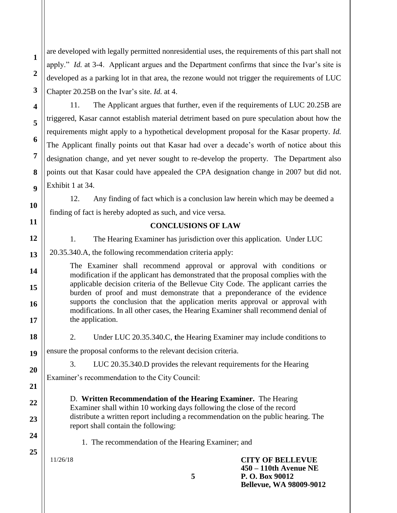are developed with legally permitted nonresidential uses, the requirements of this part shall not apply." *Id.* at 3-4. Applicant argues and the Department confirms that since the Ivar's site is developed as a parking lot in that area, the rezone would not trigger the requirements of LUC Chapter 20.25B on the Ivar's site. *Id.* at 4.

11. The Applicant argues that further, even if the requirements of LUC 20.25B are triggered, Kasar cannot establish material detriment based on pure speculation about how the requirements might apply to a hypothetical development proposal for the Kasar property. *Id.*  The Applicant finally points out that Kasar had over a decade's worth of notice about this designation change, and yet never sought to re-develop the property. The Department also points out that Kasar could have appealed the CPA designation change in 2007 but did not. Exhibit 1 at 34.

12. Any finding of fact which is a conclusion law herein which may be deemed a finding of fact is hereby adopted as such, and vice versa.

# **CONCLUSIONS OF LAW**

1. The Hearing Examiner has jurisdiction over this application. Under LUC

20.35.340.A, the following recommendation criteria apply:

The Examiner shall recommend approval or approval with conditions or modification if the applicant has demonstrated that the proposal complies with the applicable decision criteria of the Bellevue City Code. The applicant carries the burden of proof and must demonstrate that a preponderance of the evidence supports the conclusion that the application merits approval or approval with modifications. In all other cases, the Hearing Examiner shall recommend denial of the application.

2. Under LUC 20.35.340.C, **t**he Hearing Examiner may include conditions to

ensure the proposal conforms to the relevant decision criteria.

3. LUC 20.35.340.D provides the relevant requirements for the Hearing

Examiner's recommendation to the City Council:

D. **Written Recommendation of the Hearing Examiner.** The Hearing Examiner shall within 10 working days following the close of the record distribute a written report including a recommendation on the public hearing. The report shall contain the following:

**5**

1. The recommendation of the Hearing Examiner; and

11/26/18

**1**

**2**

**3**

**4**

**5**

**6**

**7**

**8**

**9**

**10**

**11**

**12**

**13**

**14**

**15**

**16**

**17**

**18**

**19**

**20**

**21**

**22**

**23**

**24**

**25**

**CITY OF BELLEVUE 450 – 110th Avenue NE P. O. Box 90012 Bellevue, WA 98009-9012**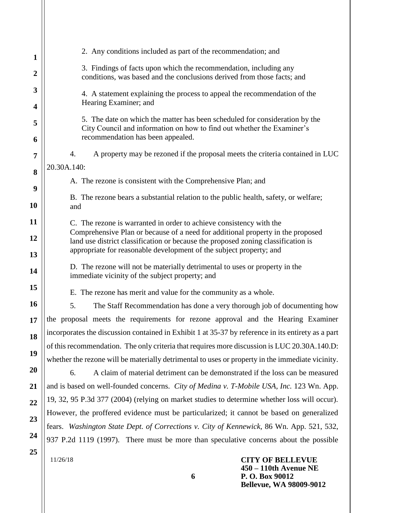| 1              | 2. Any conditions included as part of the recommendation; and                                                                                                                                                                               |
|----------------|---------------------------------------------------------------------------------------------------------------------------------------------------------------------------------------------------------------------------------------------|
| $\overline{2}$ | 3. Findings of facts upon which the recommendation, including any<br>conditions, was based and the conclusions derived from those facts; and                                                                                                |
| 3<br>4         | 4. A statement explaining the process to appeal the recommendation of the<br>Hearing Examiner; and                                                                                                                                          |
| 5              | 5. The date on which the matter has been scheduled for consideration by the<br>City Council and information on how to find out whether the Examiner's                                                                                       |
| 6              | recommendation has been appealed.<br>4.<br>A property may be rezoned if the proposal meets the criteria contained in LUC                                                                                                                    |
| 7              | 20.30A.140:                                                                                                                                                                                                                                 |
| 8              |                                                                                                                                                                                                                                             |
| 9              | A. The rezone is consistent with the Comprehensive Plan; and                                                                                                                                                                                |
| 10             | B. The rezone bears a substantial relation to the public health, safety, or welfare;<br>and                                                                                                                                                 |
| 11             | C. The rezone is warranted in order to achieve consistency with the                                                                                                                                                                         |
| 12             | Comprehensive Plan or because of a need for additional property in the proposed<br>land use district classification or because the proposed zoning classification is<br>appropriate for reasonable development of the subject property; and |
| 13<br>14       | D. The rezone will not be materially detrimental to uses or property in the<br>immediate vicinity of the subject property; and                                                                                                              |
| 15             | E. The rezone has merit and value for the community as a whole.                                                                                                                                                                             |
| 16             | 5.<br>The Staff Recommendation has done a very thorough job of documenting how                                                                                                                                                              |
| 17             | the proposal meets the requirements for rezone approval and the Hearing Examiner                                                                                                                                                            |
| 18             | incorporates the discussion contained in Exhibit 1 at 35-37 by reference in its entirety as a part                                                                                                                                          |
|                | of this recommendation. The only criteria that requires more discussion is LUC 20.30A.140.D:                                                                                                                                                |
| 19             | whether the rezone will be materially detrimental to uses or property in the immediate vicinity.                                                                                                                                            |
| 20             | A claim of material detriment can be demonstrated if the loss can be measured<br>6.                                                                                                                                                         |
| 21             | and is based on well-founded concerns. City of Medina v. T-Mobile USA, Inc. 123 Wn. App.                                                                                                                                                    |
| 22             | 19, 32, 95 P.3d 377 (2004) (relying on market studies to determine whether loss will occur).                                                                                                                                                |
|                | However, the proffered evidence must be particularized; it cannot be based on generalized                                                                                                                                                   |
| 23             | fears. Washington State Dept. of Corrections v. City of Kennewick, 86 Wn. App. 521, 532,                                                                                                                                                    |
| 24             | 937 P.2d 1119 (1997). There must be more than speculative concerns about the possible                                                                                                                                                       |
| 25             | <b>CITY OF BELLEVUE</b><br>11/26/18                                                                                                                                                                                                         |

ll

**6**

**450 – 110th Avenue NE P. O. Box 90012 Bellevue, WA 98009-9012**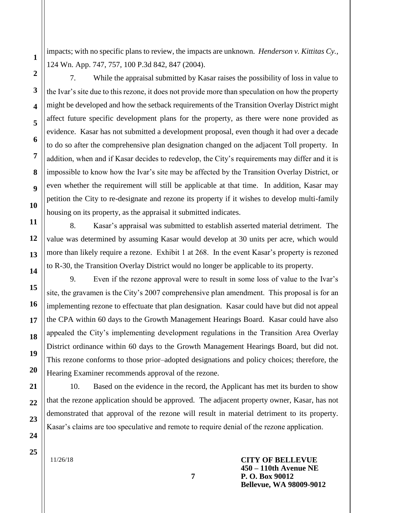impacts; with no specific plans to review, the impacts are unknown. *Henderson v. Kittitas Cy.,*  124 Wn. App. 747, 757, 100 P.3d 842, 847 (2004).

7. While the appraisal submitted by Kasar raises the possibility of loss in value to the Ivar's site due to this rezone, it does not provide more than speculation on how the property might be developed and how the setback requirements of the Transition Overlay District might affect future specific development plans for the property, as there were none provided as evidence. Kasar has not submitted a development proposal, even though it had over a decade to do so after the comprehensive plan designation changed on the adjacent Toll property. In addition, when and if Kasar decides to redevelop, the City's requirements may differ and it is impossible to know how the Ivar's site may be affected by the Transition Overlay District, or even whether the requirement will still be applicable at that time. In addition, Kasar may petition the City to re-designate and rezone its property if it wishes to develop multi-family housing on its property, as the appraisal it submitted indicates.

8. Kasar's appraisal was submitted to establish asserted material detriment. The value was determined by assuming Kasar would develop at 30 units per acre, which would more than likely require a rezone. Exhibit 1 at 268. In the event Kasar's property is rezoned to R-30, the Transition Overlay District would no longer be applicable to its property.

9. Even if the rezone approval were to result in some loss of value to the Ivar's site, the gravamen is the City's 2007 comprehensive plan amendment. This proposal is for an implementing rezone to effectuate that plan designation. Kasar could have but did not appeal the CPA within 60 days to the Growth Management Hearings Board. Kasar could have also appealed the City's implementing development regulations in the Transition Area Overlay District ordinance within 60 days to the Growth Management Hearings Board, but did not. This rezone conforms to those prior–adopted designations and policy choices; therefore, the Hearing Examiner recommends approval of the rezone.

10. Based on the evidence in the record, the Applicant has met its burden to show that the rezone application should be approved. The adjacent property owner, Kasar, has not demonstrated that approval of the rezone will result in material detriment to its property. Kasar's claims are too speculative and remote to require denial of the rezone application.

**7**

11/26/18

**CITY OF BELLEVUE 450 – 110th Avenue NE P. O. Box 90012 Bellevue, WA 98009-9012**

**25**

**1**

**2**

**3**

**4**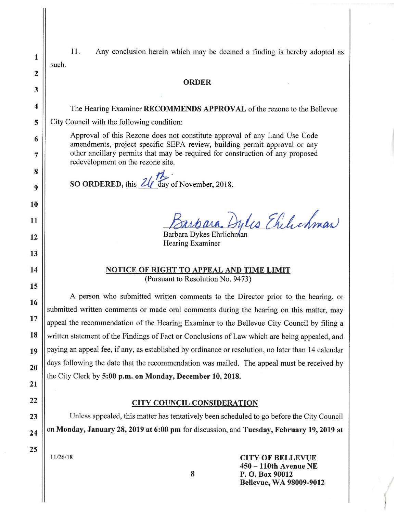| $\mathbf{1}$            | 11.<br>Any conclusion herein which may be deemed a finding is hereby adopted as<br>such.                                                               |
|-------------------------|--------------------------------------------------------------------------------------------------------------------------------------------------------|
| $\overline{2}$          |                                                                                                                                                        |
| 3                       | <b>ORDER</b>                                                                                                                                           |
|                         |                                                                                                                                                        |
| $\overline{\mathbf{4}}$ | The Hearing Examiner RECOMMENDS APPROVAL of the rezone to the Bellevue                                                                                 |
| 5                       | City Council with the following condition:                                                                                                             |
| 6                       | Approval of this Rezone does not constitute approval of any Land Use Code<br>amendments, project specific SEPA review, building permit approval or any |
| 7                       | other ancillary permits that may be required for construction of any proposed<br>redevelopment on the rezone site.                                     |
| 8                       |                                                                                                                                                        |
| 9                       | SO ORDERED, this $2\sqrt{\frac{7}{}}$ day of November, 2018.                                                                                           |
| 10                      |                                                                                                                                                        |
| 11                      | bara Dylis Ehilichman                                                                                                                                  |
| 12                      | Barbara Dykes Ehrlichnan                                                                                                                               |
|                         | Hearing Examiner                                                                                                                                       |
| 13                      |                                                                                                                                                        |
| 14                      | <b>NOTICE OF RIGHT TO APPEAL AND TIME LIMIT</b>                                                                                                        |
| 15                      | (Pursuant to Resolution No. 9473)                                                                                                                      |
| 16                      | A person who submitted written comments to the Director prior to the hearing, or                                                                       |
|                         | submitted written comments or made oral comments during the hearing on this matter, may                                                                |
| 17                      | appeal the recommendation of the Hearing Examiner to the Bellevue City Council by filing a                                                             |
| 18                      | written statement of the Findings of Fact or Conclusions of Law which are being appealed, and                                                          |
| 19                      | paying an appeal fee, if any, as established by ordinance or resolution, no later than 14 calendar                                                     |
| 20                      | days following the date that the recommendation was mailed. The appeal must be received by                                                             |
|                         | the City Clerk by 5:00 p.m. on Monday, December 10, 2018.                                                                                              |
| 21                      |                                                                                                                                                        |
| 22                      | <b>CITY COUNCIL CONSIDERATION</b>                                                                                                                      |
| 23                      | Unless appealed, this matter has tentatively been scheduled to go before the City Council                                                              |
| 24                      | on Monday, January 28, 2019 at 6:00 pm for discussion, and Tuesday, February 19, 2019 at                                                               |
|                         |                                                                                                                                                        |
| 25                      | 11/26/18<br><b>CITY OF BELLEVUE</b><br>$450 - 110$ th Avenue NE                                                                                        |

 $\bf 8$ 

P. O. Box 90012<br>Bellevue, WA 98009-9012